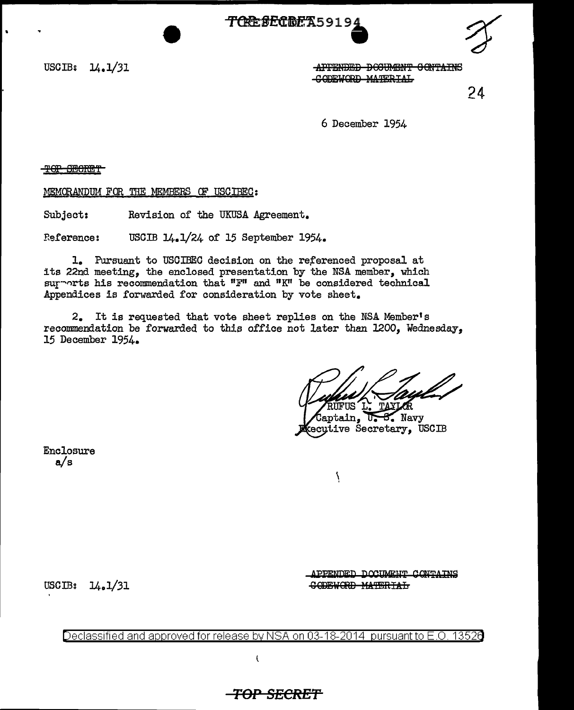<del>/TAPE \$ECRE</del>X59194



APPENDED DOCUMENT GONTATNS CODEVORD MATERIAL

 $24$ 

6 December 1954

THOTHE TOT

MEMORANDUM FOR THE MEMBERS OF USCIBEC:

Revision of the UKUSA Agreement. Subject:

USCIB 14.1/24 of 15 September 1954. **Reference:** 

1. Pursuant to USCIBEC decision on the referenced proposal at its 22nd meeting, the enclosed presentation by the NSA member, which surports his recommendation that "F" and "K" be considered technical Appendices is forwarded for consideration by vote sheet.

2. It is requested that vote sheet replies on the NSA Member's recommendation be forwarded to this office not later than 1200, Wednesday, 15 December 1954.

**ETTR** 

 $\mathrm{Gantain}$ , **B.** Navy ᠊ᢐ ecutive Secretary, USCIB

١

Enclosure  $a/s$ 

USCIB:  $14.1/31$ 

APPENDED DOCUMENT CONTAINS **CODEWORD MATERIAL** 

Declassified and approved for release by NSA on 03-18-2014 pursuant to E.O. 13526

<del>-TOP SECRET</del>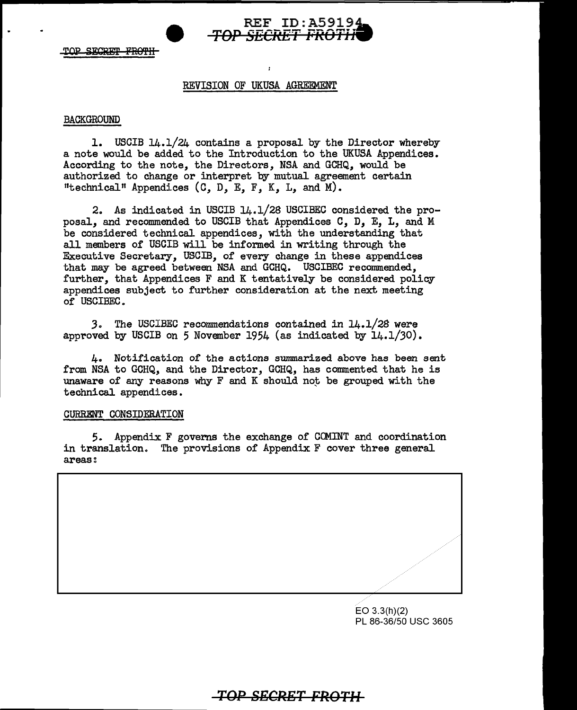

TOP SECRET FROTH

## REVISION OF UKUSA AGREEMENT

## BACKGROUND

1. USCIB 14.1/24 contains a proposal by the Director whereby a note would be added to the Introduction to the UKUSA Appendices. According to the note, the Directors, NSA and GCHQ, would be authorized to change or interpret by mutual agreement certain "technical" Appendices  $(C, D, E, F, K, L, and M)$ .

2. As indicated in USCIB 14.1/28 USCIBEC considered the proposal, and recommended to USCIB that Appendices C, D, E, L, and M be considered technical appendices, with the understanding that all members of USCIB will be informed in writing through the Executive Secretary, USCIB, of every change in these appendices that may be agreed between NSA and GCHQ. USCIBEC recommended, further, that Appendices F and K tentatively be considered policy appendices subject to further consideration at the next meeting of USCIBEC.

*3.* The USCIBEC recommendations contained in 14.1/28 were approved by USCIB on 5 November 1954 (as indicated by  $14.1/30$ ).

4. Notification of the actions summarized above has been sent from NSA to GCHQ, and the Director, GCHQ, has commented that he is unaware of any reasons why  $F$  and  $K$  should not be grouped with the technical appendices.

## CURRENT CONSIDERATION

*5.* Appendix F govems the exchange of COMINT and coordination in translation. The provisions of Appendix F cover three general areas:



EO 3.3(h)(2) PL 86-36/50 USC 3605

## *TOP SECRET FROTH*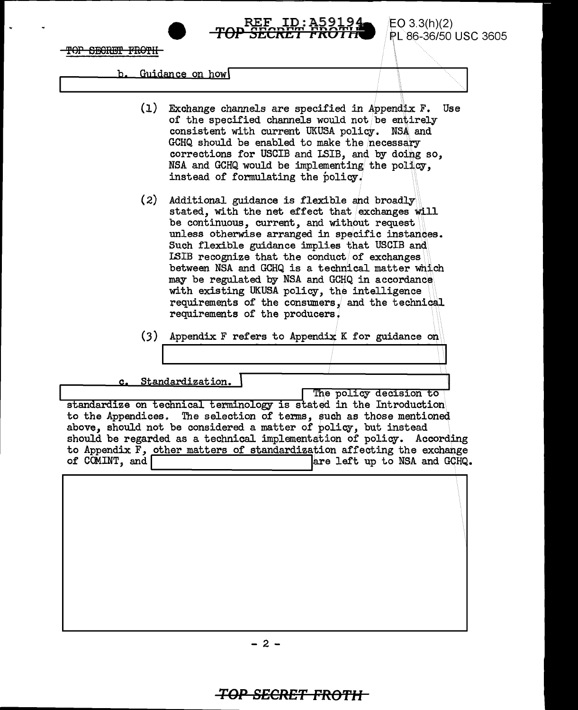TOP SECRET FROTH

EO 3.3(h)(2) PL86-36/50 USC 3605

b. Guidance on how

 $(1)$  Exchange channels are specified in Appendix F. Use of the specified channels would not be entirely consistent with current UKUSA policy. NSA and GCHQ should be enabled to make the necessary corrections for USCIB and LSIB, and by doing so, NSA and GCHQ would be implementing the policy, instead of formulating the policy.

*TOP* REF ID:A5919. ,.....,,..l"'l>...,m ...,l"'l>"'m{ **15EC1\E 1** *l'* **ICU 1 <sup>n</sup>**

- (2) Additional guidance is flexible and broadly stated, with the net effect that exchanges will be continuous, current, and without request unless otherwise arranged in specific instances. Such flexible guidance implies that USCIB and LSIB recognize that the conduct of exchanges between NSA and GCHQ is a technical matter which may be regulated by NSA and GCHQ in accordance with existing UKUSA policy, the intelligence requirements of the consumers, and the technical requirements of the producers,
- (3) Appendix F refers to Appendix K for guidance on

Standardization.  $\alpha$ .

The policy decision to

standardize on technical terminology is stated in the Introduction to the Appendices. The selection of terms, such as those mentioned above, should not be considered a matter of policy, but instead should be regarded as a technical implementation of policy. According to Appendix F, other matters of standardization affecting the exchange of COMINT, and  $\int$  are left up to NSA and GCHQ. are left up to NSA and GCHQ.

 $- 2 -$